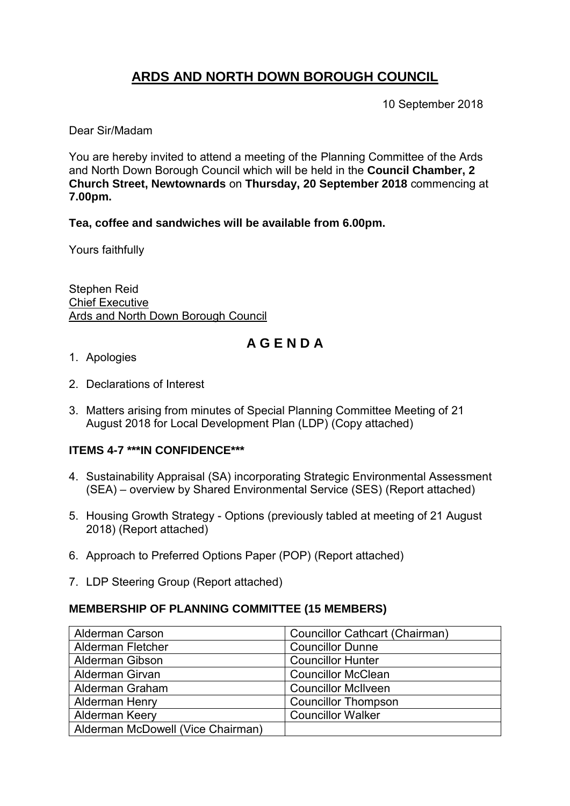# **ARDS AND NORTH DOWN BOROUGH COUNCIL**

10 September 2018

Dear Sir/Madam

You are hereby invited to attend a meeting of the Planning Committee of the Ards and North Down Borough Council which will be held in the **Council Chamber, 2 Church Street, Newtownards** on **Thursday, 20 September 2018** commencing at **7.00pm.**

**Tea, coffee and sandwiches will be available from 6.00pm.**

Yours faithfully

Stephen Reid Chief Executive Ards and North Down Borough Council

# **A G E N D A**

- 1. Apologies
- 2. Declarations of Interest
- 3. Matters arising from minutes of Special Planning Committee Meeting of 21 August 2018 for Local Development Plan (LDP) (Copy attached)

### **ITEMS 4-7 \*\*\*IN CONFIDENCE\*\*\***

- 4. Sustainability Appraisal (SA) incorporating Strategic Environmental Assessment (SEA) – overview by Shared Environmental Service (SES) (Report attached)
- 5. Housing Growth Strategy Options (previously tabled at meeting of 21 August 2018) (Report attached)
- 6. Approach to Preferred Options Paper (POP) (Report attached)
- 7. LDP Steering Group (Report attached)

### **MEMBERSHIP OF PLANNING COMMITTEE (15 MEMBERS)**

| <b>Alderman Carson</b>            | <b>Councillor Cathcart (Chairman)</b> |
|-----------------------------------|---------------------------------------|
| <b>Alderman Fletcher</b>          | <b>Councillor Dunne</b>               |
| <b>Alderman Gibson</b>            | <b>Councillor Hunter</b>              |
| Alderman Girvan                   | <b>Councillor McClean</b>             |
| Alderman Graham                   | <b>Councillor McIlveen</b>            |
| <b>Alderman Henry</b>             | <b>Councillor Thompson</b>            |
| Alderman Keery                    | <b>Councillor Walker</b>              |
| Alderman McDowell (Vice Chairman) |                                       |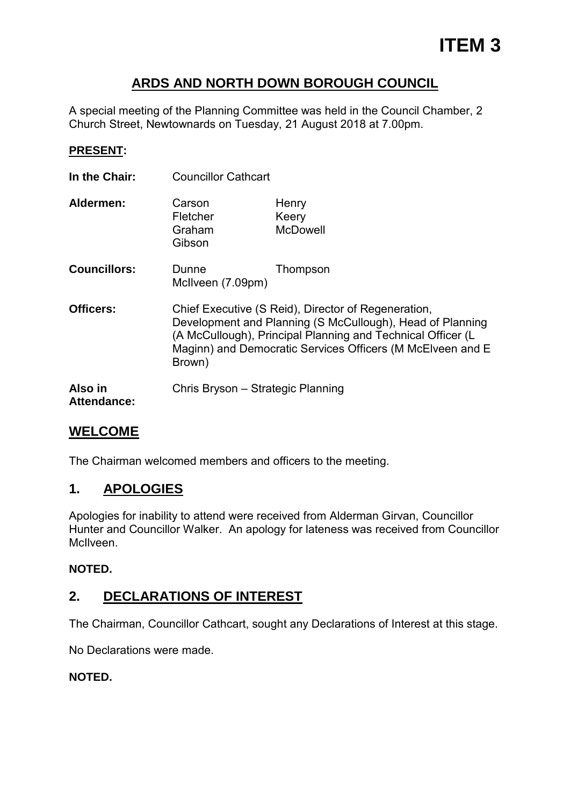## **ARDS AND NORTH DOWN BOROUGH COUNCIL**

A special meeting of the Planning Committee was held in the Council Chamber, 2 Church Street, Newtownards on Tuesday, 21 August 2018 at 7.00pm.

#### **PRESENT:**

**In the Chair:** Councillor Cathcart

| Aldermen: | Carson<br>Fletcher<br>Graham<br>Gibson | Henry<br>Keery<br><b>McDowell</b> |
|-----------|----------------------------------------|-----------------------------------|
|           |                                        |                                   |

- **Councillors:** Dunne Thompson McIlveen (7.09pm)
- **Officers:** Chief Executive (S Reid), Director of Regeneration, Development and Planning (S McCullough), Head of Planning (A McCullough), Principal Planning and Technical Officer (L Maginn) and Democratic Services Officers (M McElveen and E Brown)

**Also in** Chris Bryson – Strategic Planning **Attendance:**

## **WELCOME**

The Chairman welcomed members and officers to the meeting.

## **1. APOLOGIES**

Apologies for inability to attend were received from Alderman Girvan, Councillor Hunter and Councillor Walker. An apology for lateness was received from Councillor McIlveen.

### **NOTED.**

## **2. DECLARATIONS OF INTEREST**

The Chairman, Councillor Cathcart, sought any Declarations of Interest at this stage.

No Declarations were made.

### **NOTED.**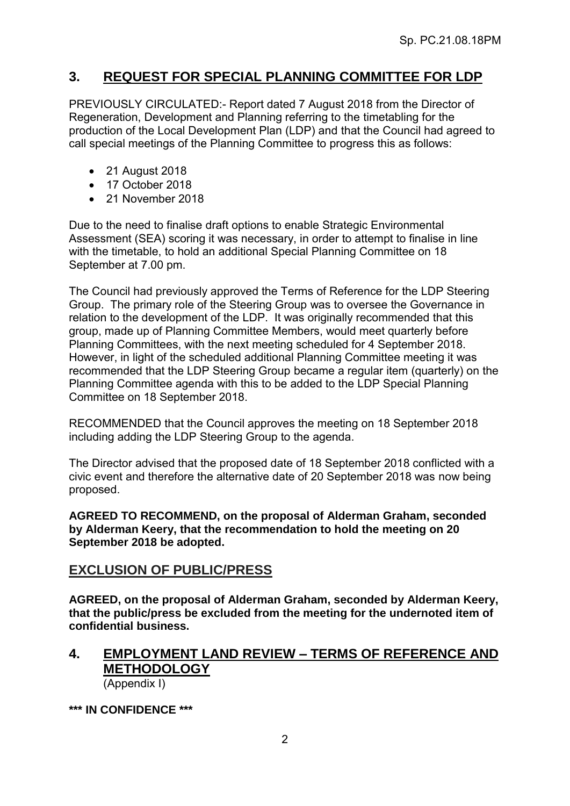## **3. REQUEST FOR SPECIAL PLANNING COMMITTEE FOR LDP**

PREVIOUSLY CIRCULATED:- Report dated 7 August 2018 from the Director of Regeneration, Development and Planning referring to the timetabling for the production of the Local Development Plan (LDP) and that the Council had agreed to call special meetings of the Planning Committee to progress this as follows:

- 21 August 2018
- 17 October 2018
- 21 November 2018

Due to the need to finalise draft options to enable Strategic Environmental Assessment (SEA) scoring it was necessary, in order to attempt to finalise in line with the timetable, to hold an additional Special Planning Committee on 18 September at 7.00 pm.

The Council had previously approved the Terms of Reference for the LDP Steering Group. The primary role of the Steering Group was to oversee the Governance in relation to the development of the LDP. It was originally recommended that this group, made up of Planning Committee Members, would meet quarterly before Planning Committees, with the next meeting scheduled for 4 September 2018. However, in light of the scheduled additional Planning Committee meeting it was recommended that the LDP Steering Group became a regular item (quarterly) on the Planning Committee agenda with this to be added to the LDP Special Planning Committee on 18 September 2018.

RECOMMENDED that the Council approves the meeting on 18 September 2018 including adding the LDP Steering Group to the agenda.

The Director advised that the proposed date of 18 September 2018 conflicted with a civic event and therefore the alternative date of 20 September 2018 was now being proposed.

**AGREED TO RECOMMEND, on the proposal of Alderman Graham, seconded by Alderman Keery, that the recommendation to hold the meeting on 20 September 2018 be adopted.**

### **EXCLUSION OF PUBLIC/PRESS**

**AGREED, on the proposal of Alderman Graham, seconded by Alderman Keery, that the public/press be excluded from the meeting for the undernoted item of confidential business.**

#### **4. EMPLOYMENT LAND REVIEW – TERMS OF REFERENCE AND METHODOLOGY** (Appendix I)

**\*\*\* IN CONFIDENCE \*\*\***